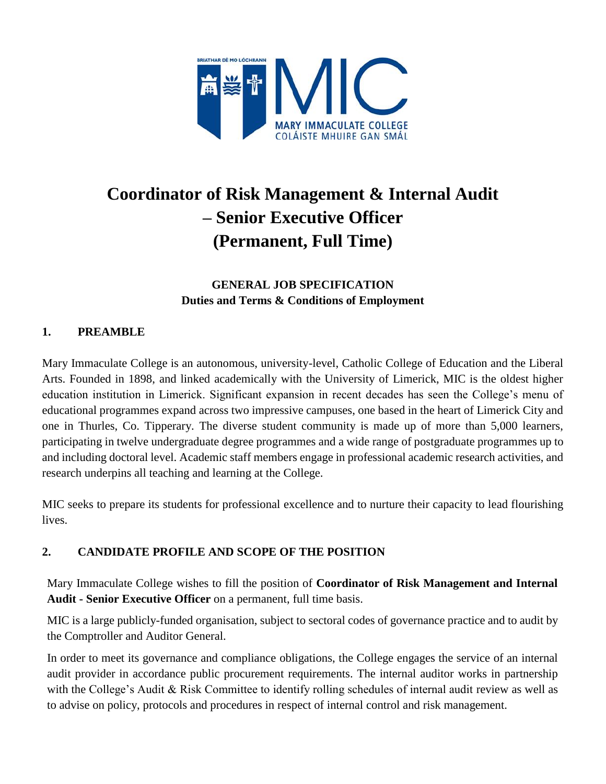

# **Coordinator of Risk Management & Internal Audit – Senior Executive Officer (Permanent, Full Time)**

**GENERAL JOB SPECIFICATION Duties and Terms & Conditions of Employment**

# **1. PREAMBLE**

Mary Immaculate College is an autonomous, university-level, Catholic College of Education and the Liberal Arts. Founded in 1898, and linked academically with the University of Limerick, MIC is the oldest higher education institution in Limerick. Significant expansion in recent decades has seen the College's menu of educational programmes expand across two impressive campuses, one based in the heart of Limerick City and one in Thurles, Co. Tipperary. The diverse student community is made up of more than 5,000 learners, participating in twelve undergraduate degree programmes and a wide range of postgraduate programmes up to and including doctoral level. Academic staff members engage in professional academic research activities, and research underpins all teaching and learning at the College.

MIC seeks to prepare its students for professional excellence and to nurture their capacity to lead flourishing lives.

# **2. CANDIDATE PROFILE AND SCOPE OF THE POSITION**

Mary Immaculate College wishes to fill the position of **Coordinator of Risk Management and Internal Audit - Senior Executive Officer** on a permanent, full time basis.

MIC is a large publicly-funded organisation, subject to sectoral codes of governance practice and to audit by the Comptroller and Auditor General.

In order to meet its governance and compliance obligations, the College engages the service of an internal audit provider in accordance public procurement requirements. The internal auditor works in partnership with the College's Audit & Risk Committee to identify rolling schedules of internal audit review as well as to advise on policy, protocols and procedures in respect of internal control and risk management.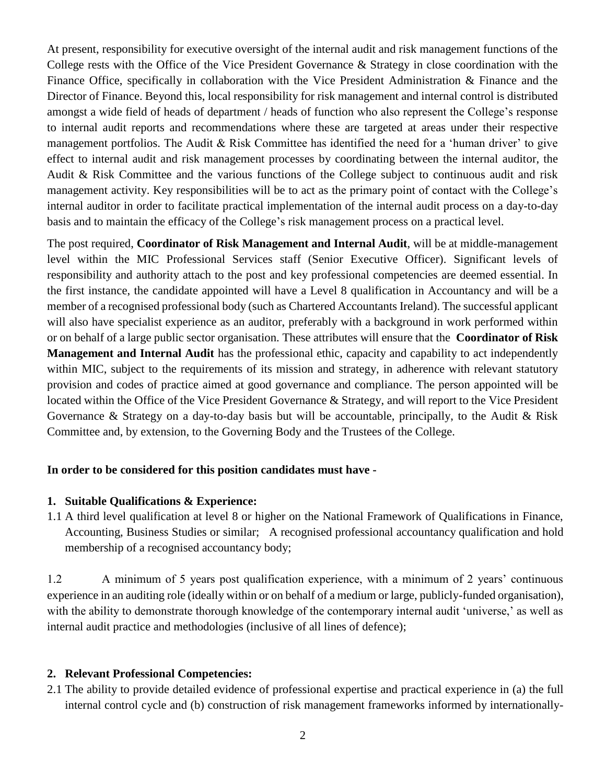At present, responsibility for executive oversight of the internal audit and risk management functions of the College rests with the Office of the Vice President Governance & Strategy in close coordination with the Finance Office, specifically in collaboration with the Vice President Administration & Finance and the Director of Finance. Beyond this, local responsibility for risk management and internal control is distributed amongst a wide field of heads of department / heads of function who also represent the College's response to internal audit reports and recommendations where these are targeted at areas under their respective management portfolios. The Audit & Risk Committee has identified the need for a 'human driver' to give effect to internal audit and risk management processes by coordinating between the internal auditor, the Audit & Risk Committee and the various functions of the College subject to continuous audit and risk management activity. Key responsibilities will be to act as the primary point of contact with the College's internal auditor in order to facilitate practical implementation of the internal audit process on a day-to-day basis and to maintain the efficacy of the College's risk management process on a practical level.

The post required, **Coordinator of Risk Management and Internal Audit**, will be at middle-management level within the MIC Professional Services staff (Senior Executive Officer). Significant levels of responsibility and authority attach to the post and key professional competencies are deemed essential. In the first instance, the candidate appointed will have a Level 8 qualification in Accountancy and will be a member of a recognised professional body (such as Chartered Accountants Ireland). The successful applicant will also have specialist experience as an auditor, preferably with a background in work performed within or on behalf of a large public sector organisation. These attributes will ensure that the **Coordinator of Risk Management and Internal Audit** has the professional ethic, capacity and capability to act independently within MIC, subject to the requirements of its mission and strategy, in adherence with relevant statutory provision and codes of practice aimed at good governance and compliance. The person appointed will be located within the Office of the Vice President Governance & Strategy, and will report to the Vice President Governance & Strategy on a day-to-day basis but will be accountable, principally, to the Audit & Risk Committee and, by extension, to the Governing Body and the Trustees of the College.

#### **In order to be considered for this position candidates must have -**

#### **1. Suitable Qualifications & Experience:**

1.1 A third level qualification at level 8 or higher on the National Framework of Qualifications in Finance, Accounting, Business Studies or similar; A recognised professional accountancy qualification and hold membership of a recognised accountancy body;

1.2 A minimum of 5 years post qualification experience, with a minimum of 2 years' continuous experience in an auditing role (ideally within or on behalf of a medium or large, publicly-funded organisation), with the ability to demonstrate thorough knowledge of the contemporary internal audit 'universe,' as well as internal audit practice and methodologies (inclusive of all lines of defence);

#### **2. Relevant Professional Competencies:**

2.1 The ability to provide detailed evidence of professional expertise and practical experience in (a) the full internal control cycle and (b) construction of risk management frameworks informed by internationally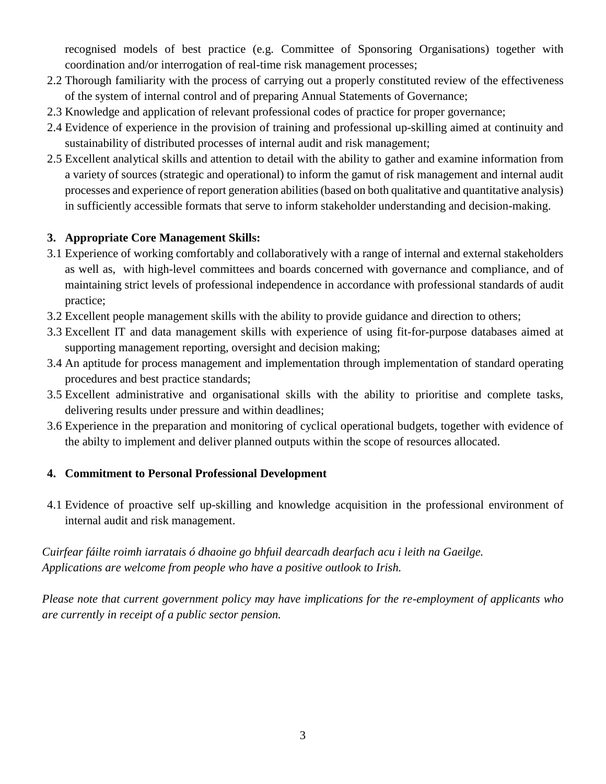recognised models of best practice (e.g. Committee of Sponsoring Organisations) together with coordination and/or interrogation of real-time risk management processes;

- 2.2 Thorough familiarity with the process of carrying out a properly constituted review of the effectiveness of the system of internal control and of preparing Annual Statements of Governance;
- 2.3 Knowledge and application of relevant professional codes of practice for proper governance;
- 2.4 Evidence of experience in the provision of training and professional up-skilling aimed at continuity and sustainability of distributed processes of internal audit and risk management;
- 2.5 Excellent analytical skills and attention to detail with the ability to gather and examine information from a variety of sources (strategic and operational) to inform the gamut of risk management and internal audit processes and experience of report generation abilities (based on both qualitative and quantitative analysis) in sufficiently accessible formats that serve to inform stakeholder understanding and decision-making.

## **3. Appropriate Core Management Skills:**

- 3.1 Experience of working comfortably and collaboratively with a range of internal and external stakeholders as well as, with high-level committees and boards concerned with governance and compliance, and of maintaining strict levels of professional independence in accordance with professional standards of audit practice;
- 3.2 Excellent people management skills with the ability to provide guidance and direction to others;
- 3.3 Excellent IT and data management skills with experience of using fit-for-purpose databases aimed at supporting management reporting, oversight and decision making;
- 3.4 An aptitude for process management and implementation through implementation of standard operating procedures and best practice standards;
- 3.5 Excellent administrative and organisational skills with the ability to prioritise and complete tasks, delivering results under pressure and within deadlines;
- 3.6 Experience in the preparation and monitoring of cyclical operational budgets, together with evidence of the abilty to implement and deliver planned outputs within the scope of resources allocated.

#### **4. Commitment to Personal Professional Development**

4.1 Evidence of proactive self up-skilling and knowledge acquisition in the professional environment of internal audit and risk management.

*Cuirfear fáilte roimh iarratais ó dhaoine go bhfuil dearcadh dearfach acu i leith na Gaeilge. Applications are welcome from people who have a positive outlook to Irish.*

*Please note that current government policy may have implications for the re-employment of applicants who are currently in receipt of a public sector pension.*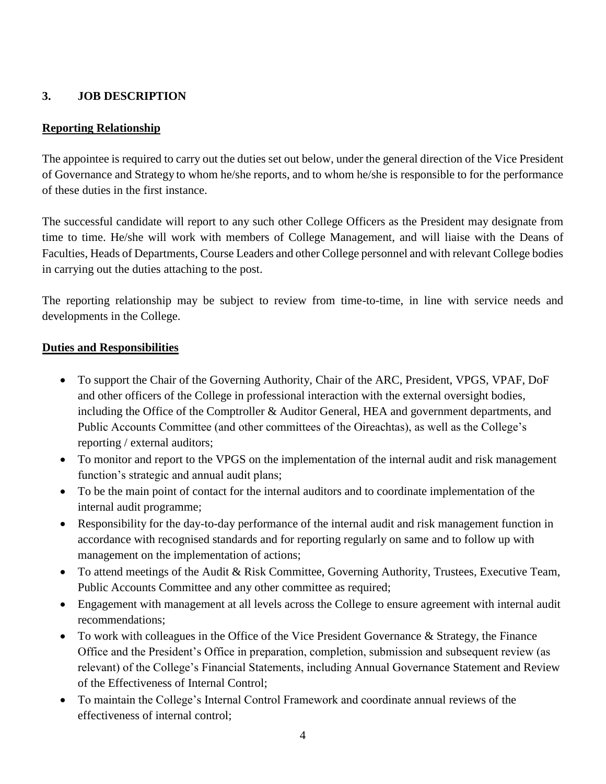# **3. JOB DESCRIPTION**

## **Reporting Relationship**

The appointee is required to carry out the duties set out below, under the general direction of the Vice President of Governance and Strategy to whom he/she reports, and to whom he/she is responsible to for the performance of these duties in the first instance.

The successful candidate will report to any such other College Officers as the President may designate from time to time. He/she will work with members of College Management, and will liaise with the Deans of Faculties, Heads of Departments, Course Leaders and other College personnel and with relevant College bodies in carrying out the duties attaching to the post.

The reporting relationship may be subject to review from time-to-time, in line with service needs and developments in the College.

## **Duties and Responsibilities**

- To support the Chair of the Governing Authority, Chair of the ARC, President, VPGS, VPAF, DoF and other officers of the College in professional interaction with the external oversight bodies, including the Office of the Comptroller & Auditor General, HEA and government departments, and Public Accounts Committee (and other committees of the Oireachtas), as well as the College's reporting / external auditors;
- To monitor and report to the VPGS on the implementation of the internal audit and risk management function's strategic and annual audit plans;
- To be the main point of contact for the internal auditors and to coordinate implementation of the internal audit programme;
- Responsibility for the day-to-day performance of the internal audit and risk management function in accordance with recognised standards and for reporting regularly on same and to follow up with management on the implementation of actions;
- To attend meetings of the Audit & Risk Committee, Governing Authority, Trustees, Executive Team, Public Accounts Committee and any other committee as required;
- Engagement with management at all levels across the College to ensure agreement with internal audit recommendations;
- To work with colleagues in the Office of the Vice President Governance & Strategy, the Finance Office and the President's Office in preparation, completion, submission and subsequent review (as relevant) of the College's Financial Statements, including Annual Governance Statement and Review of the Effectiveness of Internal Control;
- To maintain the College's Internal Control Framework and coordinate annual reviews of the effectiveness of internal control;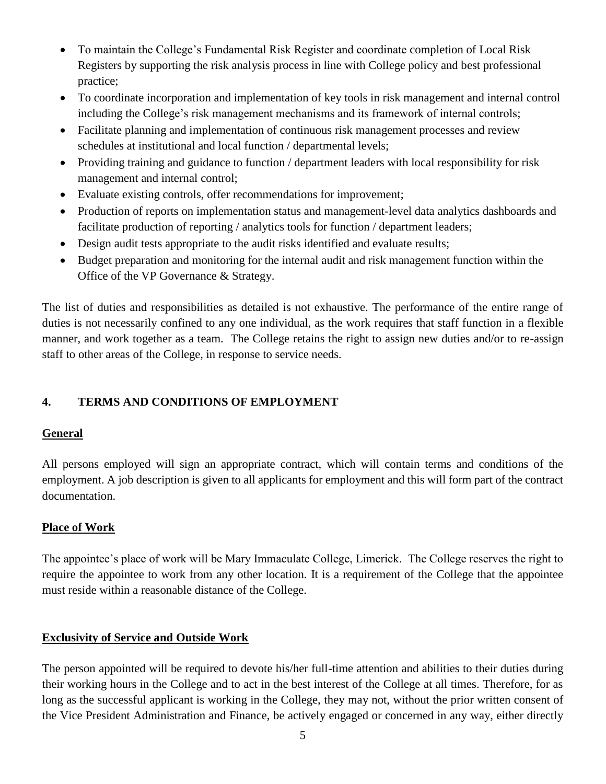- To maintain the College's Fundamental Risk Register and coordinate completion of Local Risk Registers by supporting the risk analysis process in line with College policy and best professional practice;
- To coordinate incorporation and implementation of key tools in risk management and internal control including the College's risk management mechanisms and its framework of internal controls;
- Facilitate planning and implementation of continuous risk management processes and review schedules at institutional and local function / departmental levels;
- Providing training and guidance to function / department leaders with local responsibility for risk management and internal control;
- Evaluate existing controls, offer recommendations for improvement;
- Production of reports on implementation status and management-level data analytics dashboards and facilitate production of reporting / analytics tools for function / department leaders;
- Design audit tests appropriate to the audit risks identified and evaluate results;
- Budget preparation and monitoring for the internal audit and risk management function within the Office of the VP Governance & Strategy.

The list of duties and responsibilities as detailed is not exhaustive. The performance of the entire range of duties is not necessarily confined to any one individual, as the work requires that staff function in a flexible manner, and work together as a team. The College retains the right to assign new duties and/or to re-assign staff to other areas of the College, in response to service needs.

# **4. TERMS AND CONDITIONS OF EMPLOYMENT**

#### **General**

All persons employed will sign an appropriate contract, which will contain terms and conditions of the employment. A job description is given to all applicants for employment and this will form part of the contract documentation.

# **Place of Work**

The appointee's place of work will be Mary Immaculate College, Limerick. The College reserves the right to require the appointee to work from any other location. It is a requirement of the College that the appointee must reside within a reasonable distance of the College.

#### **Exclusivity of Service and Outside Work**

The person appointed will be required to devote his/her full-time attention and abilities to their duties during their working hours in the College and to act in the best interest of the College at all times. Therefore, for as long as the successful applicant is working in the College, they may not, without the prior written consent of the Vice President Administration and Finance, be actively engaged or concerned in any way, either directly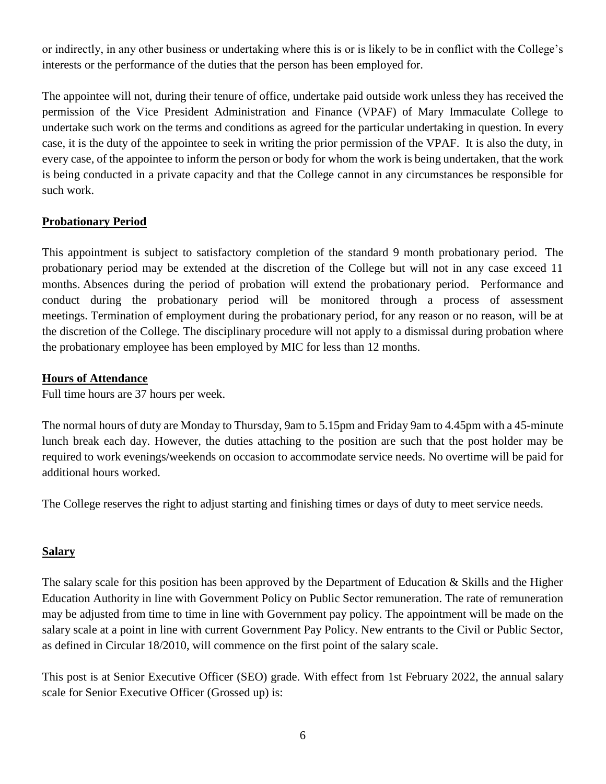or indirectly, in any other business or undertaking where this is or is likely to be in conflict with the College's interests or the performance of the duties that the person has been employed for.

The appointee will not, during their tenure of office, undertake paid outside work unless they has received the permission of the Vice President Administration and Finance (VPAF) of Mary Immaculate College to undertake such work on the terms and conditions as agreed for the particular undertaking in question. In every case, it is the duty of the appointee to seek in writing the prior permission of the VPAF. It is also the duty, in every case, of the appointee to inform the person or body for whom the work is being undertaken, that the work is being conducted in a private capacity and that the College cannot in any circumstances be responsible for such work.

#### **Probationary Period**

This appointment is subject to satisfactory completion of the standard 9 month probationary period. The probationary period may be extended at the discretion of the College but will not in any case exceed 11 months. Absences during the period of probation will extend the probationary period. Performance and conduct during the probationary period will be monitored through a process of assessment meetings. Termination of employment during the probationary period, for any reason or no reason, will be at the discretion of the College. The disciplinary procedure will not apply to a dismissal during probation where the probationary employee has been employed by MIC for less than 12 months.

#### **Hours of Attendance**

Full time hours are 37 hours per week.

The normal hours of duty are Monday to Thursday, 9am to 5.15pm and Friday 9am to 4.45pm with a 45-minute lunch break each day. However, the duties attaching to the position are such that the post holder may be required to work evenings/weekends on occasion to accommodate service needs. No overtime will be paid for additional hours worked.

The College reserves the right to adjust starting and finishing times or days of duty to meet service needs.

#### **Salary**

The salary scale for this position has been approved by the Department of Education & Skills and the Higher Education Authority in line with Government Policy on Public Sector remuneration. The rate of remuneration may be adjusted from time to time in line with Government pay policy. The appointment will be made on the salary scale at a point in line with current Government Pay Policy. New entrants to the Civil or Public Sector, as defined in Circular 18/2010, will commence on the first point of the salary scale.

This post is at Senior Executive Officer (SEO) grade. With effect from 1st February 2022, the annual salary scale for Senior Executive Officer (Grossed up) is: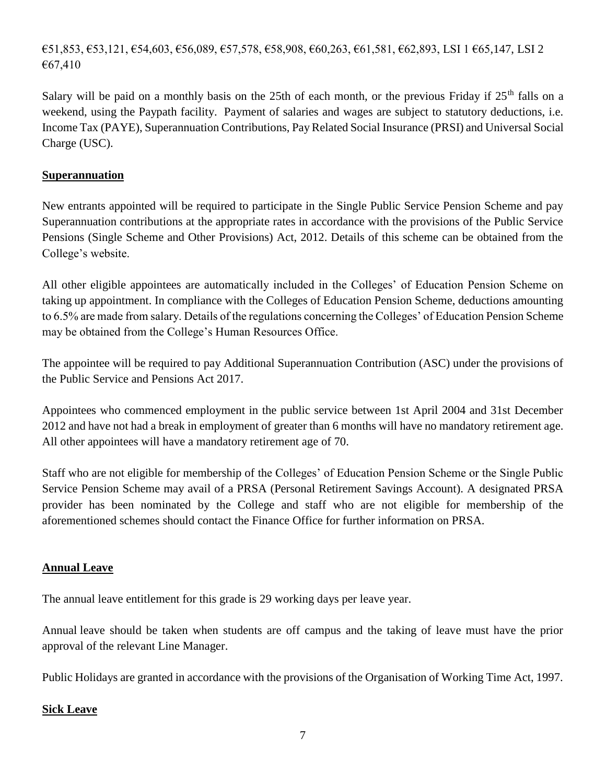€51,853, €53,121, €54,603, €56,089, €57,578, €58,908, €60,263, €61,581, €62,893, LSI 1 €65,147, LSI 2 €67,410

Salary will be paid on a monthly basis on the 25th of each month, or the previous Friday if  $25<sup>th</sup>$  falls on a weekend, using the Paypath facility. Payment of salaries and wages are subject to statutory deductions, i.e. Income Tax (PAYE), Superannuation Contributions, Pay Related Social Insurance (PRSI) and Universal Social Charge (USC).

#### **Superannuation**

New entrants appointed will be required to participate in the Single Public Service Pension Scheme and pay Superannuation contributions at the appropriate rates in accordance with the provisions of the Public Service Pensions (Single Scheme and Other Provisions) Act, 2012. Details of this scheme can be obtained from the College's website.

All other eligible appointees are automatically included in the Colleges' of Education Pension Scheme on taking up appointment. In compliance with the Colleges of Education Pension Scheme, deductions amounting to 6.5% are made from salary. Details of the regulations concerning the Colleges' of Education Pension Scheme may be obtained from the College's Human Resources Office.

The appointee will be required to pay Additional Superannuation Contribution (ASC) under the provisions of the Public Service and Pensions Act 2017.

Appointees who commenced employment in the public service between 1st April 2004 and 31st December 2012 and have not had a break in employment of greater than 6 months will have no mandatory retirement age. All other appointees will have a mandatory retirement age of 70.

Staff who are not eligible for membership of the Colleges' of Education Pension Scheme or the Single Public Service Pension Scheme may avail of a PRSA (Personal Retirement Savings Account). A designated PRSA provider has been nominated by the College and staff who are not eligible for membership of the aforementioned schemes should contact the Finance Office for further information on PRSA.

#### **Annual Leave**

The annual leave entitlement for this grade is 29 working days per leave year.

Annual leave should be taken when students are off campus and the taking of leave must have the prior approval of the relevant Line Manager.

Public Holidays are granted in accordance with the provisions of the Organisation of Working Time Act, 1997.

#### **Sick Leave**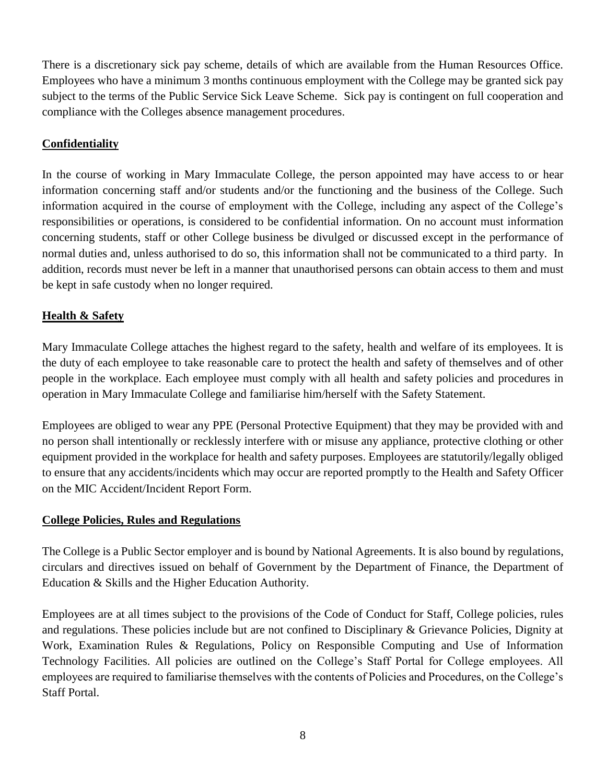There is a discretionary sick pay scheme, details of which are available from the Human Resources Office. Employees who have a minimum 3 months continuous employment with the College may be granted sick pay subject to the terms of the Public Service Sick Leave Scheme. Sick pay is contingent on full cooperation and compliance with the Colleges absence management procedures.

### **Confidentiality**

In the course of working in Mary Immaculate College, the person appointed may have access to or hear information concerning staff and/or students and/or the functioning and the business of the College. Such information acquired in the course of employment with the College, including any aspect of the College's responsibilities or operations, is considered to be confidential information. On no account must information concerning students, staff or other College business be divulged or discussed except in the performance of normal duties and, unless authorised to do so, this information shall not be communicated to a third party. In addition, records must never be left in a manner that unauthorised persons can obtain access to them and must be kept in safe custody when no longer required.

## **Health & Safety**

Mary Immaculate College attaches the highest regard to the safety, health and welfare of its employees. It is the duty of each employee to take reasonable care to protect the health and safety of themselves and of other people in the workplace. Each employee must comply with all health and safety policies and procedures in operation in Mary Immaculate College and familiarise him/herself with the Safety Statement.

Employees are obliged to wear any PPE (Personal Protective Equipment) that they may be provided with and no person shall intentionally or recklessly interfere with or misuse any appliance, protective clothing or other equipment provided in the workplace for health and safety purposes. Employees are statutorily/legally obliged to ensure that any accidents/incidents which may occur are reported promptly to the Health and Safety Officer on the MIC Accident/Incident Report Form.

#### **College Policies, Rules and Regulations**

The College is a Public Sector employer and is bound by National Agreements. It is also bound by regulations, circulars and directives issued on behalf of Government by the Department of Finance, the Department of Education & Skills and the Higher Education Authority.

Employees are at all times subject to the provisions of the Code of Conduct for Staff, College policies, rules and regulations. These policies include but are not confined to Disciplinary & Grievance Policies, Dignity at Work, Examination Rules & Regulations, Policy on Responsible Computing and Use of Information Technology Facilities. All policies are outlined on the College's Staff Portal for College employees. All employees are required to familiarise themselves with the contents of Policies and Procedures, on the College's Staff Portal.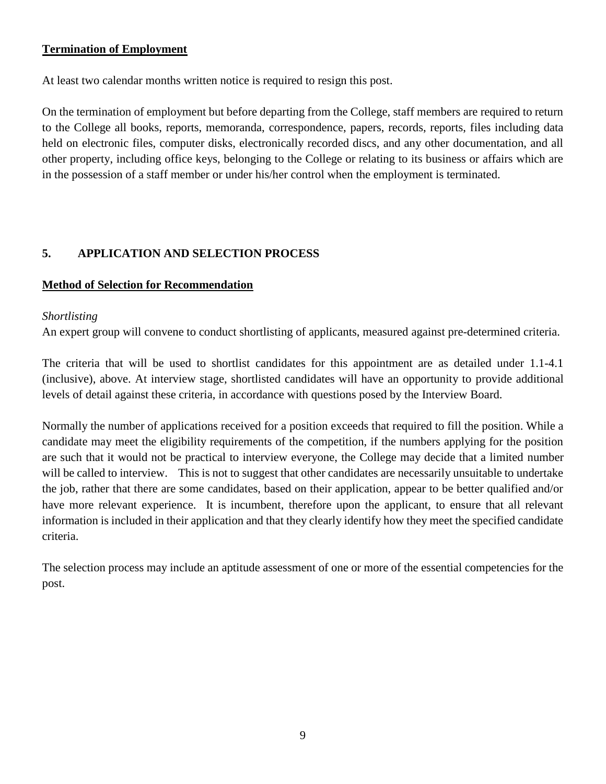### **Termination of Employment**

At least two calendar months written notice is required to resign this post.

On the termination of employment but before departing from the College, staff members are required to return to the College all books, reports, memoranda, correspondence, papers, records, reports, files including data held on electronic files, computer disks, electronically recorded discs, and any other documentation, and all other property, including office keys, belonging to the College or relating to its business or affairs which are in the possession of a staff member or under his/her control when the employment is terminated.

# **5. APPLICATION AND SELECTION PROCESS**

#### **Method of Selection for Recommendation**

#### *Shortlisting*

An expert group will convene to conduct shortlisting of applicants, measured against pre-determined criteria.

The criteria that will be used to shortlist candidates for this appointment are as detailed under 1.1-4.1 (inclusive), above. At interview stage, shortlisted candidates will have an opportunity to provide additional levels of detail against these criteria, in accordance with questions posed by the Interview Board.

Normally the number of applications received for a position exceeds that required to fill the position. While a candidate may meet the eligibility requirements of the competition, if the numbers applying for the position are such that it would not be practical to interview everyone, the College may decide that a limited number will be called to interview. This is not to suggest that other candidates are necessarily unsuitable to undertake the job, rather that there are some candidates, based on their application, appear to be better qualified and/or have more relevant experience. It is incumbent, therefore upon the applicant, to ensure that all relevant information is included in their application and that they clearly identify how they meet the specified candidate criteria.

The selection process may include an aptitude assessment of one or more of the essential competencies for the post.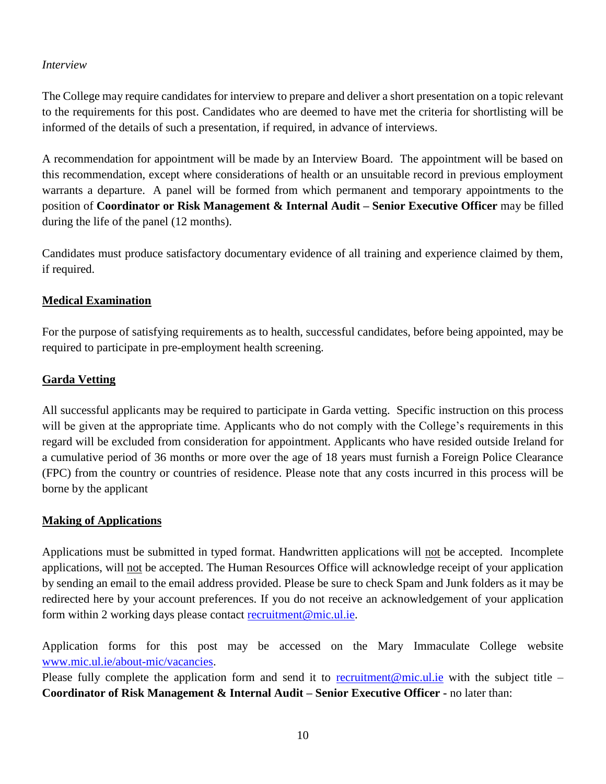#### *Interview*

The College may require candidates for interview to prepare and deliver a short presentation on a topic relevant to the requirements for this post. Candidates who are deemed to have met the criteria for shortlisting will be informed of the details of such a presentation, if required, in advance of interviews.

A recommendation for appointment will be made by an Interview Board. The appointment will be based on this recommendation, except where considerations of health or an unsuitable record in previous employment warrants a departure. A panel will be formed from which permanent and temporary appointments to the position of **Coordinator or Risk Management & Internal Audit – Senior Executive Officer** may be filled during the life of the panel (12 months).

Candidates must produce satisfactory documentary evidence of all training and experience claimed by them, if required.

#### **Medical Examination**

For the purpose of satisfying requirements as to health, successful candidates, before being appointed, may be required to participate in pre-employment health screening.

#### **Garda Vetting**

All successful applicants may be required to participate in Garda vetting. Specific instruction on this process will be given at the appropriate time. Applicants who do not comply with the College's requirements in this regard will be excluded from consideration for appointment. Applicants who have resided outside Ireland for a cumulative period of 36 months or more over the age of 18 years must furnish a Foreign Police Clearance (FPC) from the country or countries of residence. Please note that any costs incurred in this process will be borne by the applicant

#### **Making of Applications**

Applications must be submitted in typed format. Handwritten applications will not be accepted. Incomplete applications, will not be accepted. The Human Resources Office will acknowledge receipt of your application by sending an email to the email address provided. Please be sure to check Spam and Junk folders as it may be redirected here by your account preferences. If you do not receive an acknowledgement of your application form within 2 working days please contact recruitment@mic.ul.ie.

Application forms for this post may be accessed on the Mary Immaculate College website [www.mic.ul.ie/about-mic/vacancies.](http://www.mic.ul.ie/about-mic/vacancies)

Please fully complete the application form and send it to  $\frac{\text{recruitment@mic.ul.ie}}{\text{enc.ul.ie}}$  $\frac{\text{recruitment@mic.ul.ie}}{\text{enc.ul.ie}}$  $\frac{\text{recruitment@mic.ul.ie}}{\text{enc.ul.ie}}$  with the subject title – **Coordinator of Risk Management & Internal Audit – Senior Executive Officer -** no later than: